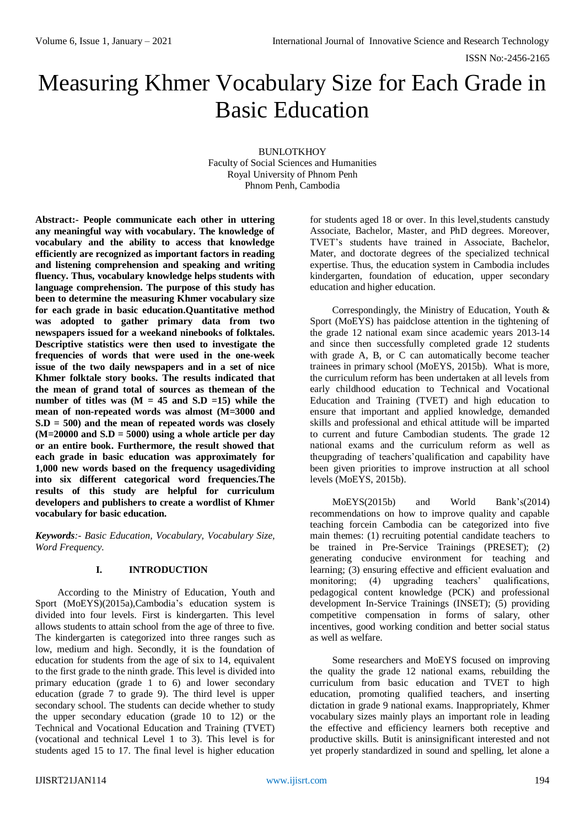# Measuring Khmer Vocabulary Size for Each Grade in Basic Education

BUNLOTKHOY Faculty of Social Sciences and Humanities Royal University of Phnom Penh Phnom Penh, Cambodia

**Abstract:- People communicate each other in uttering any meaningful way with vocabulary. The knowledge of vocabulary and the ability to access that knowledge efficiently are recognized as important factors in reading and listening comprehension and speaking and writing fluency. Thus, vocabulary knowledge helps students with language comprehension. The purpose of this study has been to determine the measuring Khmer vocabulary size for each grade in basic education.Quantitative method was adopted to gather primary data from two newspapers issued for a weekand ninebooks of folktales. Descriptive statistics were then used to investigate the frequencies of words that were used in the one-week issue of the two daily newspapers and in a set of nice Khmer folktale story books. The results indicated that the mean of grand total of sources as themean of the**  number of titles was  $(M = 45$  and  $S.D =15)$  while the **mean of non-repeated words was almost (M=3000 and S.D = 500) and the mean of repeated words was closely (M=20000 and S.D = 5000) using a whole article per day or an entire book. Furthermore, the result showed that each grade in basic education was approximately for 1,000 new words based on the frequency usagedividing into six different categorical word frequencies.The results of this study are helpful for curriculum developers and publishers to create a wordlist of Khmer vocabulary for basic education.**

*Keywords:- Basic Education, Vocabulary, Vocabulary Size, Word Frequency.*

## **I. INTRODUCTION**

According to the Ministry of Education, Youth and Sport (MoEYS)(2015a),Cambodia's education system is divided into four levels. First is kindergarten. This level allows students to attain school from the age of three to five. The kindergarten is categorized into three ranges such as low, medium and high. Secondly, it is the foundation of education for students from the age of six to 14, equivalent to the first grade to the ninth grade. This level is divided into primary education (grade  $\overline{1}$  to 6) and lower secondary education (grade 7 to grade 9). The third level is upper secondary school. The students can decide whether to study the upper secondary education (grade 10 to 12) or the Technical and Vocational Education and Training (TVET) (vocational and technical Level 1 to 3). This level is for students aged 15 to 17. The final level is higher education

for students aged 18 or over. In this level,students canstudy Associate, Bachelor, Master, and PhD degrees. Moreover, TVET's students have trained in Associate, Bachelor, Mater, and doctorate degrees of the specialized technical expertise. Thus, the education system in Cambodia includes kindergarten, foundation of education, upper secondary education and higher education.

Correspondingly, the Ministry of Education, Youth & Sport (MoEYS) has paidclose attention in the tightening of the grade 12 national exam since academic years 2013-14 and since then successfully completed grade 12 students with grade A, B, or C can automatically become teacher trainees in primary school (MoEYS, 2015b). What is more, the curriculum reform has been undertaken at all levels from early childhood education to Technical and Vocational Education and Training (TVET) and high education to ensure that important and applied knowledge, demanded skills and professional and ethical attitude will be imparted to current and future Cambodian students. The grade 12 national exams and the curriculum reform as well as theupgrading of teachers'qualification and capability have been given priorities to improve instruction at all school levels (MoEYS, 2015b).

MoEYS(2015b) and World Bank's(2014) recommendations on how to improve quality and capable teaching forcein Cambodia can be categorized into five main themes: (1) recruiting potential candidate teachers to be trained in Pre-Service Trainings (PRESET); (2) generating conducive environment for teaching and learning; (3) ensuring effective and efficient evaluation and monitoring; (4) upgrading teachers' qualifications, pedagogical content knowledge (PCK) and professional development In-Service Trainings (INSET); (5) providing competitive compensation in forms of salary, other incentives, good working condition and better social status as well as welfare.

Some researchers and MoEYS focused on improving the quality the grade 12 national exams, rebuilding the curriculum from basic education and TVET to high education, promoting qualified teachers, and inserting dictation in grade 9 national exams. Inappropriately, Khmer vocabulary sizes mainly plays an important role in leading the effective and efficiency learners both receptive and productive skills. Butit is aninsignificant interested and not yet properly standardized in sound and spelling, let alone a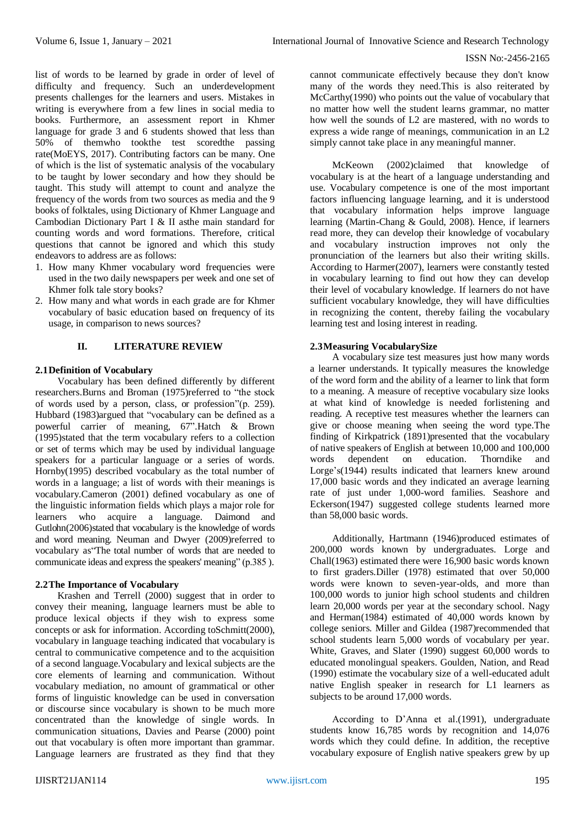list of words to be learned by grade in order of level of difficulty and frequency. Such an underdevelopment presents challenges for the learners and users. Mistakes in writing is everywhere from a few lines in social media to books. Furthermore, an assessment report in Khmer language for grade 3 and 6 students showed that less than 50% of themwho tookthe test scoredthe passing rate(MoEYS, 2017). Contributing factors can be many. One of which is the list of systematic analysis of the vocabulary to be taught by lower secondary and how they should be taught. This study will attempt to count and analyze the frequency of the words from two sources as media and the 9 books of folktales, using Dictionary of Khmer Language and Cambodian Dictionary Part I & II asthe main standard for counting words and word formations. Therefore, critical questions that cannot be ignored and which this study endeavors to address are as follows:

- 1. How many Khmer vocabulary word frequencies were used in the two daily newspapers per week and one set of Khmer folk tale story books?
- 2. How many and what words in each grade are for Khmer vocabulary of basic education based on frequency of its usage, in comparison to news sources?

# **II. LITERATURE REVIEW**

## **2.1Definition of Vocabulary**

Vocabulary has been defined differently by different researchers.Burns and Broman (1975)referred to "the stock of words used by a person, class, or profession"(p. 259). Hubbard (1983)argued that "vocabulary can be defined as a powerful carrier of meaning, 67".Hatch & Brown (1995)stated that the term vocabulary refers to a collection or set of terms which may be used by individual language speakers for a particular language or a series of words. Hornby(1995) described vocabulary as the total number of words in a language; a list of words with their meanings is vocabulary.Cameron (2001) defined vocabulary as one of the linguistic information fields which plays a major role for learners who acquire a language. Daimond and Gutlohn(2006)stated that vocabulary is the knowledge of words and word meaning. Neuman and Dwyer (2009)referred to vocabulary as"The total number of words that are needed to communicate ideas and express the speakers' meaning" (p.385 ).

## **2.2The Importance of Vocabulary**

Krashen and Terrell (2000) suggest that in order to convey their meaning, language learners must be able to produce lexical objects if they wish to express some concepts or ask for information. According toSchmitt(2000), vocabulary in language teaching indicated that vocabulary is central to communicative competence and to the acquisition of a second language.Vocabulary and lexical subjects are the core elements of learning and communication. Without vocabulary mediation, no amount of grammatical or other forms of linguistic knowledge can be used in conversation or discourse since vocabulary is shown to be much more concentrated than the knowledge of single words. In communication situations, Davies and Pearse (2000) point out that vocabulary is often more important than grammar. Language learners are frustrated as they find that they

cannot communicate effectively because they don't know many of the words they need.This is also reiterated by McCarthy(1990) who points out the value of vocabulary that no matter how well the student learns grammar, no matter how well the sounds of L2 are mastered, with no words to express a wide range of meanings, communication in an L2 simply cannot take place in any meaningful manner.

McKeown (2002)claimed that knowledge of vocabulary is at the heart of a language understanding and use. Vocabulary competence is one of the most important factors influencing language learning, and it is understood that vocabulary information helps improve language learning (Martin-Chang & Gould, 2008). Hence, if learners read more, they can develop their knowledge of vocabulary and vocabulary instruction improves not only the pronunciation of the learners but also their writing skills. According to Harmer(2007), learners were constantly tested in vocabulary learning to find out how they can develop their level of vocabulary knowledge. If learners do not have sufficient vocabulary knowledge, they will have difficulties in recognizing the content, thereby failing the vocabulary learning test and losing interest in reading.

# **2.3Measuring VocabularySize**

A vocabulary size test measures just how many words a learner understands. It typically measures the knowledge of the word form and the ability of a learner to link that form to a meaning. A measure of receptive vocabulary size looks at what kind of knowledge is needed forlistening and reading. A receptive test measures whether the learners can give or choose meaning when seeing the word type.The finding of Kirkpatrick (1891)presented that the vocabulary of native speakers of English at between 10,000 and 100,000<br>words dependent on education. Thorndike and words dependent on education. Thorndike and Lorge's(1944) results indicated that learners knew around 17,000 basic words and they indicated an average learning rate of just under 1,000-word families. Seashore and Eckerson(1947) suggested college students learned more than 58,000 basic words.

Additionally, Hartmann (1946)produced estimates of 200,000 words known by undergraduates. Lorge and Chall(1963) estimated there were 16,900 basic words known to first graders.Diller (1978) estimated that over 50,000 words were known to seven-year-olds, and more than 100,000 words to junior high school students and children learn 20,000 words per year at the secondary school. Nagy and Herman(1984) estimated of 40,000 words known by college seniors. Miller and Gildea (1987)recommended that school students learn 5,000 words of vocabulary per year. White, Graves, and Slater (1990) suggest 60,000 words to educated monolingual speakers. Goulden, Nation, and Read (1990) estimate the vocabulary size of a well-educated adult native English speaker in research for L1 learners as subjects to be around 17,000 words.

According to D'Anna et al.(1991), undergraduate students know 16,785 words by recognition and 14,076 words which they could define. In addition, the receptive vocabulary exposure of English native speakers grew by up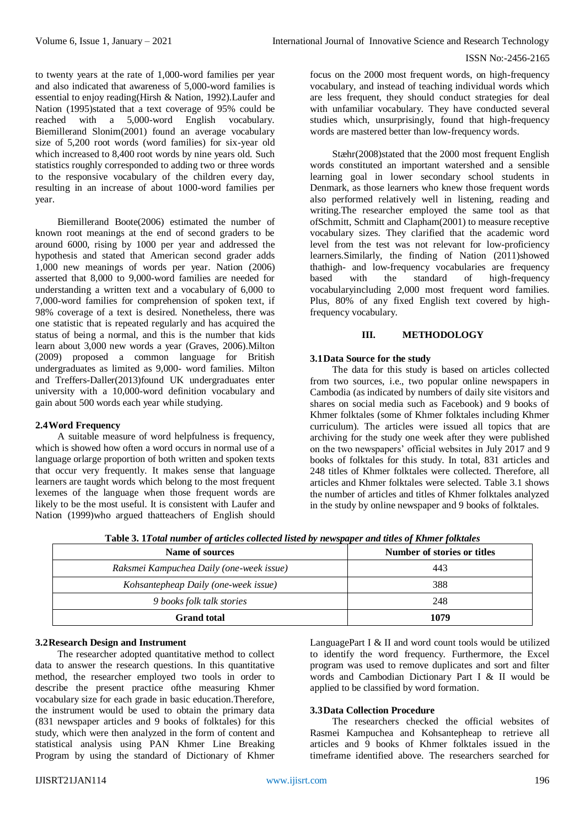to twenty years at the rate of 1,000-word families per year and also indicated that awareness of 5,000-word families is essential to enjoy reading(Hirsh & Nation, 1992).Laufer and Nation (1995)stated that a text coverage of 95% could be reached with a 5,000-word English vocabulary. Biemillerand Slonim(2001) found an average vocabulary size of 5,200 root words (word families) for six-year old which increased to 8,400 root words by nine years old. Such statistics roughly corresponded to adding two or three words to the responsive vocabulary of the children every day, resulting in an increase of about 1000-word families per year.

Biemillerand Boote(2006) estimated the number of known root meanings at the end of second graders to be around 6000, rising by 1000 per year and addressed the hypothesis and stated that American second grader adds 1,000 new meanings of words per year. Nation (2006) asserted that 8,000 to 9,000-word families are needed for understanding a written text and a vocabulary of 6,000 to 7,000-word families for comprehension of spoken text, if 98% coverage of a text is desired. Nonetheless, there was one statistic that is repeated regularly and has acquired the status of being a normal, and this is the number that kids learn about 3,000 new words a year (Graves, 2006).Milton (2009) proposed a common language for British undergraduates as limited as 9,000- word families. Milton and Treffers-Daller(2013)found UK undergraduates enter university with a 10,000-word definition vocabulary and gain about 500 words each year while studying.

#### **2.4Word Frequency**

A suitable measure of word helpfulness is frequency, which is showed how often a word occurs in normal use of a language orlarge proportion of both written and spoken texts that occur very frequently. It makes sense that language learners are taught words which belong to the most frequent lexemes of the language when those frequent words are likely to be the most useful. It is consistent with Laufer and Nation (1999)who argued thatteachers of English should focus on the 2000 most frequent words, on high-frequency vocabulary, and instead of teaching individual words which are less frequent, they should conduct strategies for deal with unfamiliar vocabulary. They have conducted several studies which, unsurprisingly, found that high-frequency words are mastered better than low-frequency words.

Stæhr(2008)stated that the 2000 most frequent English words constituted an important watershed and a sensible learning goal in lower secondary school students in Denmark, as those learners who knew those frequent words also performed relatively well in listening, reading and writing. The researcher employed the same tool as that ofSchmitt, Schmitt and Clapham(2001) to measure receptive vocabulary sizes. They clarified that the academic word level from the test was not relevant for low-proficiency learners.Similarly, the finding of Nation (2011)showed thathigh- and low-frequency vocabularies are frequency based with the standard of high-frequency vocabularyincluding 2,000 most frequent word families. Plus, 80% of any fixed English text covered by highfrequency vocabulary.

## **III. METHODOLOGY**

## **3.1Data Source for the study**

The data for this study is based on articles collected from two sources, i.e., two popular online newspapers in Cambodia (as indicated by numbers of daily site visitors and shares on social media such as Facebook) and 9 books of Khmer folktales (some of Khmer folktales including Khmer curriculum). The articles were issued all topics that are archiving for the study one week after they were published on the two newspapers' official websites in July 2017 and 9 books of folktales for this study. In total, 831 articles and 248 titles of Khmer folktales were collected. Therefore, all articles and Khmer folktales were selected. Table 3.1 shows the number of articles and titles of Khmer folktales analyzed in the study by online newspaper and 9 books of folktales.

| Name of sources                          | Number of stories or titles |
|------------------------------------------|-----------------------------|
| Raksmei Kampuchea Daily (one-week issue) | 443                         |
| Kohsantepheap Daily (one-week issue)     | 388                         |
| 9 books folk talk stories                | 248                         |
| <b>Grand</b> total                       | 1079                        |

**Table 3. 1***Total number of articles collected listed by newspaper and titles of Khmer folktales*

# **3.2Research Design and Instrument**

The researcher adopted quantitative method to collect data to answer the research questions. In this quantitative method, the researcher employed two tools in order to describe the present practice ofthe measuring Khmer vocabulary size for each grade in basic education.Therefore, the instrument would be used to obtain the primary data (831 newspaper articles and 9 books of folktales) for this study, which were then analyzed in the form of content and statistical analysis using PAN Khmer Line Breaking Program by using the standard of Dictionary of Khmer

LanguagePart I & II and word count tools would be utilized to identify the word frequency. Furthermore, the Excel program was used to remove duplicates and sort and filter words and Cambodian Dictionary Part I & II would be applied to be classified by word formation.

## **3.3Data Collection Procedure**

The researchers checked the official websites of Rasmei Kampuchea and Kohsantepheap to retrieve all articles and 9 books of Khmer folktales issued in the timeframe identified above. The researchers searched for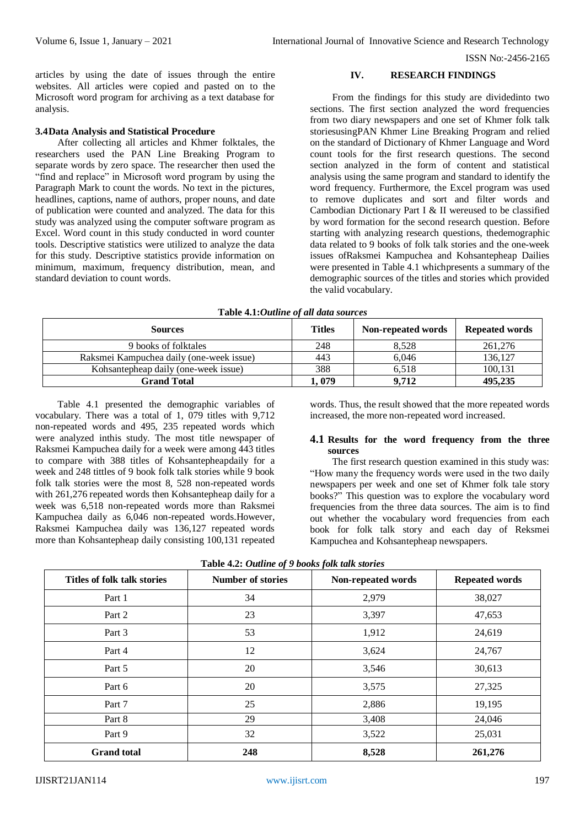articles by using the date of issues through the entire websites. All articles were copied and pasted on to the Microsoft word program for archiving as a text database for analysis.

#### **3.4Data Analysis and Statistical Procedure**

After collecting all articles and Khmer folktales, the researchers used the PAN Line Breaking Program to separate words by zero space. The researcher then used the "find and replace" in Microsoft word program by using the Paragraph Mark to count the words. No text in the pictures, headlines, captions, name of authors, proper nouns, and date of publication were counted and analyzed. The data for this study was analyzed using the computer software program as Excel. Word count in this study conducted in word counter tools. Descriptive statistics were utilized to analyze the data for this study. Descriptive statistics provide information on minimum, maximum, frequency distribution, mean, and standard deviation to count words.

## **IV. RESEARCH FINDINGS**

From the findings for this study are dividedinto two sections. The first section analyzed the word frequencies from two diary newspapers and one set of Khmer folk talk storiesusingPAN Khmer Line Breaking Program and relied on the standard of Dictionary of Khmer Language and Word count tools for the first research questions. The second section analyzed in the form of content and statistical analysis using the same program and standard to identify the word frequency. Furthermore, the Excel program was used to remove duplicates and sort and filter words and Cambodian Dictionary Part I & II wereused to be classified by word formation for the second research question. Before starting with analyzing research questions, thedemographic data related to 9 books of folk talk stories and the one-week issues ofRaksmei Kampuchea and Kohsantepheap Dailies were presented in Table 4.1 whichpresents a summary of the demographic sources of the titles and stories which provided the valid vocabulary.

| <b>Sources</b>                           | <b>Titles</b> | Non-repeated words | <b>Repeated words</b> |
|------------------------------------------|---------------|--------------------|-----------------------|
| 9 books of folktales                     | 248           | 8.528              | 261,276               |
| Raksmei Kampuchea daily (one-week issue) | 443           | 6.046              | 136,127               |
| Kohsantepheap daily (one-week issue)     | 388           | 6.518              | 100.131               |
| Grand Total                              | . 079         | 9.712              | 495,235               |

Table 4.1 presented the demographic variables of vocabulary. There was a total of 1, 079 titles with 9,712 non-repeated words and 495, 235 repeated words which were analyzed inthis study. The most title newspaper of Raksmei Kampuchea daily for a week were among 443 titles to compare with 388 titles of Kohsantepheapdaily for a week and 248 tittles of 9 book folk talk stories while 9 book folk talk stories were the most 8, 528 non-repeated words with 261,276 repeated words then Kohsantepheap daily for a week was 6,518 non-repeated words more than Raksmei Kampuchea daily as 6,046 non-repeated words.However, Raksmei Kampuchea daily was 136,127 repeated words more than Kohsantepheap daily consisting 100,131 repeated

words. Thus, the result showed that the more repeated words increased, the more non-repeated word increased.

## **4.1 Results for the word frequency from the three sources**

The first research question examined in this study was: "How many the frequency words were used in the two daily newspapers per week and one set of Khmer folk tale story books?" This question was to explore the vocabulary word frequencies from the three data sources. The aim is to find out whether the vocabulary word frequencies from each book for folk talk story and each day of Reksmei Kampuchea and Kohsantepheap newspapers.

| Titles of folk talk stories | <b>Number of stories</b> | Non-repeated words | <b>Repeated words</b> |
|-----------------------------|--------------------------|--------------------|-----------------------|
| Part 1                      | 34                       | 2,979              | 38,027                |
| Part 2                      | 23                       | 3,397              | 47,653                |
| Part 3                      | 53                       | 1,912              | 24,619                |
| Part 4                      | 12                       | 3,624              | 24,767                |
| Part 5                      | 20                       | 3,546              | 30,613                |
| Part 6                      | 20                       | 3,575              | 27,325                |
| Part 7                      | 25                       | 2,886              | 19,195                |
| Part 8                      | 29                       | 3,408              | 24,046                |
| Part 9                      | 32                       | 3,522              | 25,031                |
| <b>Grand</b> total          | 248                      | 8,528              | 261,276               |

| Table 4.2: Outline of 9 books folk talk stories |  |  |  |
|-------------------------------------------------|--|--|--|
|                                                 |  |  |  |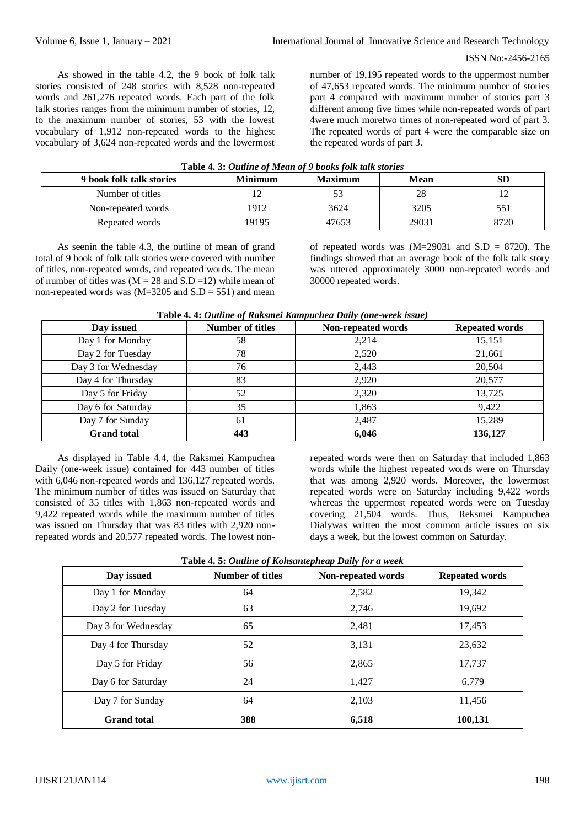As showed in the table 4.2, the 9 book of folk talk stories consisted of 248 stories with 8,528 non-repeated words and 261,276 repeated words. Each part of the folk talk stories ranges from the minimum number of stories, 12, to the maximum number of stories, 53 with the lowest vocabulary of 1,912 non-repeated words to the highest vocabulary of 3,624 non-repeated words and the lowermost

number of 19,195 repeated words to the uppermost number of 47,653 repeated words. The minimum number of stories part 4 compared with maximum number of stories part 3 different among five times while non-repeated words of part 4were much moretwo times of non-repeated word of part 3. The repeated words of part 4 were the comparable size on the repeated words of part 3.

| 9 book folk talk stories | <b>Minimum</b> | <b>Maximum</b> | Mean  | <b>SD</b> |  |
|--------------------------|----------------|----------------|-------|-----------|--|
| Number of titles         |                |                | 28    |           |  |
| Non-repeated words       | 1912           | 3624           | 3205  | 551       |  |
| Repeated words           | 19195          | 47653          | 29031 | 8720      |  |

## **Table 4. 3:** *Outline of Mean of 9 books folk talk stories*

As seenin the table 4.3, the outline of mean of grand total of 9 book of folk talk stories were covered with number of titles, non-repeated words, and repeated words. The mean of number of titles was  $(M = 28$  and  $S.D = 12)$  while mean of non-repeated words was  $(M=3205$  and  $S.D = 551$ ) and mean

of repeated words was  $(M=29031$  and  $S.D = 8720$ . The findings showed that an average book of the folk talk story was uttered approximately 3000 non-repeated words and 30000 repeated words.

| Day issued          | <b>Number of titles</b> | Non-repeated words | <b>Repeated words</b> |
|---------------------|-------------------------|--------------------|-----------------------|
| Day 1 for Monday    | 58                      | 2,214              | 15,151                |
| Day 2 for Tuesday   | 78                      | 2,520              | 21,661                |
| Day 3 for Wednesday | 76                      | 2,443              | 20,504                |
| Day 4 for Thursday  | 83                      | 2,920              | 20,577                |
| Day 5 for Friday    | 52                      | 2,320              | 13,725                |
| Day 6 for Saturday  | 35                      | 1,863              | 9,422                 |
| Day 7 for Sunday    | 61                      | 2,487              | 15,289                |
| <b>Grand</b> total  | 443                     | 6,046              | 136,127               |

# **Table 4. 4:** *Outline of Raksmei Kampuchea Daily (one-week issue)*

As displayed in Table 4.4, the Raksmei Kampuchea Daily (one-week issue) contained for 443 number of titles with 6,046 non-repeated words and 136,127 repeated words. The minimum number of titles was issued on Saturday that consisted of 35 titles with 1,863 non-repeated words and 9,422 repeated words while the maximum number of titles was issued on Thursday that was 83 titles with 2,920 nonrepeated words and 20,577 repeated words. The lowest nonrepeated words were then on Saturday that included 1,863 words while the highest repeated words were on Thursday that was among 2,920 words. Moreover, the lowermost repeated words were on Saturday including 9,422 words whereas the uppermost repeated words were on Tuesday covering 21,504 words. Thus, Reksmei Kampuchea Dialywas written the most common article issues on six days a week, but the lowest common on Saturday.

| Day issued          | <b>Number of titles</b> | Non-repeated words | <b>Repeated words</b> |
|---------------------|-------------------------|--------------------|-----------------------|
| Day 1 for Monday    | 64                      | 2,582              | 19,342                |
| Day 2 for Tuesday   | 63                      | 2,746              | 19,692                |
| Day 3 for Wednesday | 65                      | 2,481              | 17,453                |
| Day 4 for Thursday  | 52                      | 3,131              | 23,632                |
| Day 5 for Friday    | 56                      | 2,865              | 17,737                |
| Day 6 for Saturday  | 24                      | 1,427              | 6,779                 |
| Day 7 for Sunday    | 64                      | 2,103              | 11,456                |
| <b>Grand</b> total  | 388                     | 6,518              | 100,131               |

|  | Table 4.5: Outline of Kohsantepheap Daily for a week |  |
|--|------------------------------------------------------|--|
|  |                                                      |  |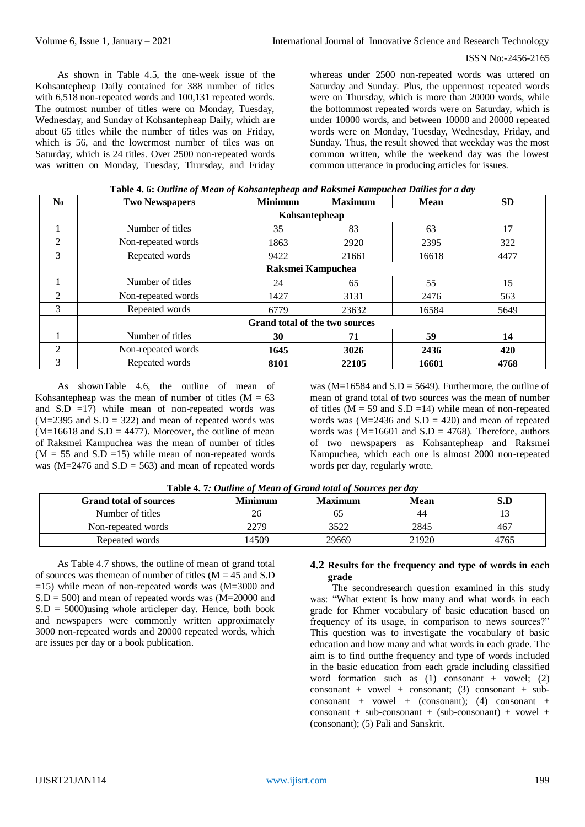As shown in Table 4.5, the one-week issue of the Kohsantepheap Daily contained for 388 number of titles with 6,518 non-repeated words and 100,131 repeated words. The outmost number of titles were on Monday, Tuesday, Wednesday, and Sunday of Kohsantepheap Daily, which are about 65 titles while the number of titles was on Friday, which is 56, and the lowermost number of tiles was on Saturday, which is 24 titles. Over 2500 non-repeated words was written on Monday, Tuesday, Thursday, and Friday whereas under 2500 non-repeated words was uttered on Saturday and Sunday. Plus, the uppermost repeated words were on Thursday, which is more than 20000 words, while the bottommost repeated words were on Saturday, which is under 10000 words, and between 10000 and 20000 repeated words were on Monday, Tuesday, Wednesday, Friday, and Sunday. Thus, the result showed that weekday was the most common written, while the weekend day was the lowest common utterance in producing articles for issues.

| $\mathbf{N_0}$ | <b>Two Newspapers</b>          | <b>Minimum</b> | <b>Maximum</b> | <b>Mean</b> | <b>SD</b> |  |  |
|----------------|--------------------------------|----------------|----------------|-------------|-----------|--|--|
|                |                                | Kohsantepheap  |                |             |           |  |  |
|                | Number of titles               | 35             | 83             | 63          | 17        |  |  |
| $\overline{2}$ | Non-repeated words             | 1863           | 2920           | 2395        | 322       |  |  |
| 3              | Repeated words                 | 9422           | 21661          | 16618       | 4477      |  |  |
|                | Raksmei Kampuchea              |                |                |             |           |  |  |
|                | Number of titles               | 24             | 65             | 55          | 15        |  |  |
| $\overline{2}$ | Non-repeated words             | 1427           | 3131           | 2476        | 563       |  |  |
| 3              | Repeated words                 | 6779           | 23632          | 16584       | 5649      |  |  |
|                | Grand total of the two sources |                |                |             |           |  |  |
|                | Number of titles               | 30             | 71             | 59          | 14        |  |  |
| 2              | Non-repeated words             | 1645           | 3026           | 2436        | 420       |  |  |
| 3              | Repeated words                 | 8101           | 22105          | 16601       | 4768      |  |  |

| Table 4.6: Outline of Mean of Kohsantepheap and Raksmei Kampuchea Dailies for a day |  |  |
|-------------------------------------------------------------------------------------|--|--|
|                                                                                     |  |  |

As shownTable 4.6, the outline of mean of Kohsantepheap was the mean of number of titles  $(M = 63$ and  $S.D =17$ ) while mean of non-repeated words was  $(M=2395$  and  $S.D = 322$ ) and mean of repeated words was  $(M=16618$  and  $S.D = 4477$ ). Moreover, the outline of mean of Raksmei Kampuchea was the mean of number of titles  $(M = 55$  and S.D =15) while mean of non-repeated words was ( $M=2476$  and  $S.D = 563$ ) and mean of repeated words

was ( $M=16584$  and  $S.D = 5649$ ). Furthermore, the outline of mean of grand total of two sources was the mean of number of titles ( $M = 59$  and  $S.D = 14$ ) while mean of non-repeated words was  $(M=2436$  and  $S.D = 420$ ) and mean of repeated words was  $(M=16601$  and  $S.D = 4768$ ). Therefore, authors of two newspapers as Kohsantepheap and Raksmei Kampuchea, which each one is almost 2000 non-repeated words per day, regularly wrote.

| <b>Grand total of sources</b> | <b>Minimum</b> | <b>Maximum</b> | Mean  | S.D  |
|-------------------------------|----------------|----------------|-------|------|
| Number of titles              |                | ნა             | 44    |      |
| Non-repeated words            | 2279           | 3522           | 2845  | 467  |
| Repeated words                | 14509          | 29669          | 21920 | 4765 |

**Table 4. 7***: Outline of Mean of Grand total of Sources per day*

As Table 4.7 shows, the outline of mean of grand total of sources was themean of number of titles  $(M = 45$  and S.D  $=15$ ) while mean of non-repeated words was (M=3000 and  $S.D = 500$  and mean of repeated words was  $(M=20000$  and  $S.D = 5000$ )using whole articleper day. Hence, both book and newspapers were commonly written approximately 3000 non-repeated words and 20000 repeated words, which are issues per day or a book publication.

# **4.2 Results for the frequency and type of words in each grade**

The secondresearch question examined in this study was: "What extent is how many and what words in each grade for Khmer vocabulary of basic education based on frequency of its usage, in comparison to news sources?" This question was to investigate the vocabulary of basic education and how many and what words in each grade. The aim is to find outthe frequency and type of words included in the basic education from each grade including classified word formation such as  $(1)$  consonant + vowel;  $(2)$ consonant + vowel + consonant; (3) consonant + subconsonant + vowel + (consonant); (4) consonant +  $\text{consonant} + \text{sub-consonant} + (\text{sub-consonant}) + \text{vowel} +$ (consonant); (5) Pali and Sanskrit.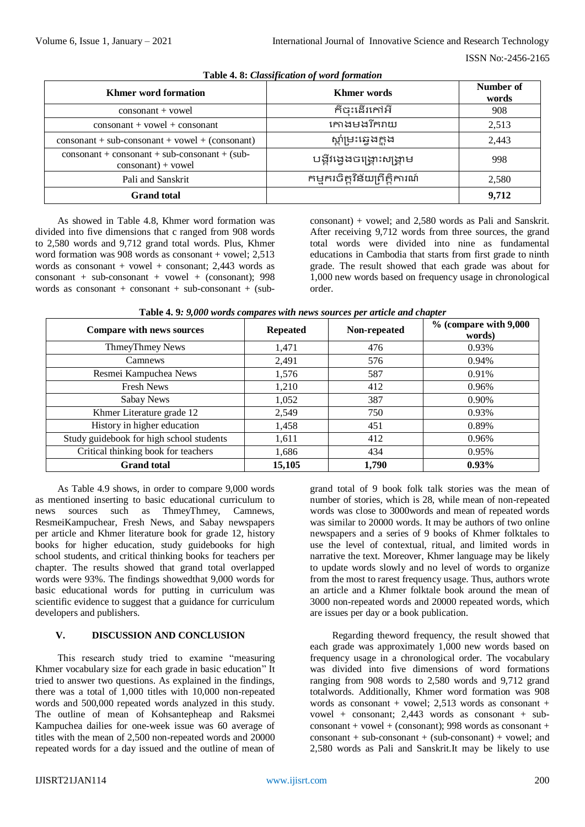| <b>Khmer</b> word formation                                                       | <b>Khmer</b> words            | Number of<br>words |
|-----------------------------------------------------------------------------------|-------------------------------|--------------------|
| $\cos$ onsonant + vowel                                                           | ក៏ចះដើរកៅអី                   | 908                |
| $\cos$ onsonant + vowel + consonant                                               | កោងមងរីករាយ                   | 2,513              |
| $\cos \theta$ + sub-consonant + vowel + (consonant)                               | ស្តាំម្រះឆ្វេងក្ពុង           | 2,443              |
| $\cos$ onsonant + consonant + sub-consonant + (sub-<br>$\cos$ onsonant $)+$ vowel | បង្កីវង្វេងចង្ក្រោះសង្គ្រាម   | 998                |
| Pali and Sanskrit                                                                 | កម្មករចិត្តវិន័យព្រឹត្តិការណ៍ | 2,580              |
| <b>Grand</b> total                                                                |                               | 9,712              |

**Table 4. 8:** *Classification of word formation*

As showed in Table 4.8, Khmer word formation was divided into five dimensions that c ranged from 908 words to 2,580 words and 9,712 grand total words. Plus, Khmer word formation was 908 words as consonant + vowel: 2.513 words as consonant + vowel + consonant:  $2.443$  words as  $\text{consonant} + \text{sub-consonant} + \text{vowel} + (\text{consonant}); 998$ words as consonant + consonant + sub-consonant + (subconsonant) + vowel; and 2,580 words as Pali and Sanskrit. After receiving 9,712 words from three sources, the grand total words were divided into nine as fundamental educations in Cambodia that starts from first grade to ninth grade. The result showed that each grade was about for 1,000 new words based on frequency usage in chronological order.

| <b>Compare with news sources</b>         | <b>Repeated</b> | Non-repeated | $%$ (compare with $9,000$<br>words) |
|------------------------------------------|-----------------|--------------|-------------------------------------|
| ThmeyThmey News                          | 1,471           | 476          | 0.93%                               |
| Camnews                                  | 2,491           | 576          | 0.94%                               |
| Resmei Kampuchea News                    | 1,576           | 587          | 0.91%                               |
| <b>Fresh News</b>                        | 1,210           | 412          | 0.96%                               |
| Sabay News                               | 1,052           | 387          | 0.90%                               |
| Khmer Literature grade 12                | 2,549           | 750          | 0.93%                               |
| History in higher education              | 1,458           | 451          | 0.89%                               |
| Study guidebook for high school students | 1,611           | 412          | 0.96%                               |
| Critical thinking book for teachers      | 1,686           | 434          | 0.95%                               |
| <b>Grand</b> total                       | 15,105          | 1,790        | $0.93\%$                            |

**Table 4. 9***: 9,000 words compares with news sources per article and chapter*

As Table 4.9 shows, in order to compare 9,000 words as mentioned inserting to basic educational curriculum to news sources such as ThmeyThmey, Camnews, ResmeiKampuchear, Fresh News, and Sabay newspapers per article and Khmer literature book for grade 12, history books for higher education, study guidebooks for high school students, and critical thinking books for teachers per chapter. The results showed that grand total overlapped words were 93%. The findings showedthat 9,000 words for basic educational words for putting in curriculum was scientific evidence to suggest that a guidance for curriculum developers and publishers.

# **V. DISCUSSION AND CONCLUSION**

This research study tried to examine "measuring Khmer vocabulary size for each grade in basic education" It tried to answer two questions. As explained in the findings, there was a total of 1,000 titles with 10,000 non-repeated words and 500,000 repeated words analyzed in this study. The outline of mean of Kohsantepheap and Raksmei Kampuchea dailies for one-week issue was 60 average of titles with the mean of 2,500 non-repeated words and 20000 repeated words for a day issued and the outline of mean of

grand total of 9 book folk talk stories was the mean of number of stories, which is 28, while mean of non-repeated words was close to 3000words and mean of repeated words was similar to 20000 words. It may be authors of two online newspapers and a series of 9 books of Khmer folktales to use the level of contextual, ritual, and limited words in narrative the text. Moreover, Khmer language may be likely to update words slowly and no level of words to organize from the most to rarest frequency usage. Thus, authors wrote an article and a Khmer folktale book around the mean of 3000 non-repeated words and 20000 repeated words, which are issues per day or a book publication.

Regarding theword frequency, the result showed that each grade was approximately 1,000 new words based on frequency usage in a chronological order. The vocabulary was divided into five dimensions of word formations ranging from 908 words to 2,580 words and 9,712 grand totalwords. Additionally, Khmer word formation was 908 words as consonant + vowel; 2,513 words as consonant + vowel + consonant:  $2.443$  words as consonant + sub- $\cos$ consonant + vowel + (consonant): 998 words as consonant +  $\text{consonant} + \text{sub-consonant} + (\text{sub-consonant}) + \text{vowel:}$  and 2,580 words as Pali and Sanskrit.It may be likely to use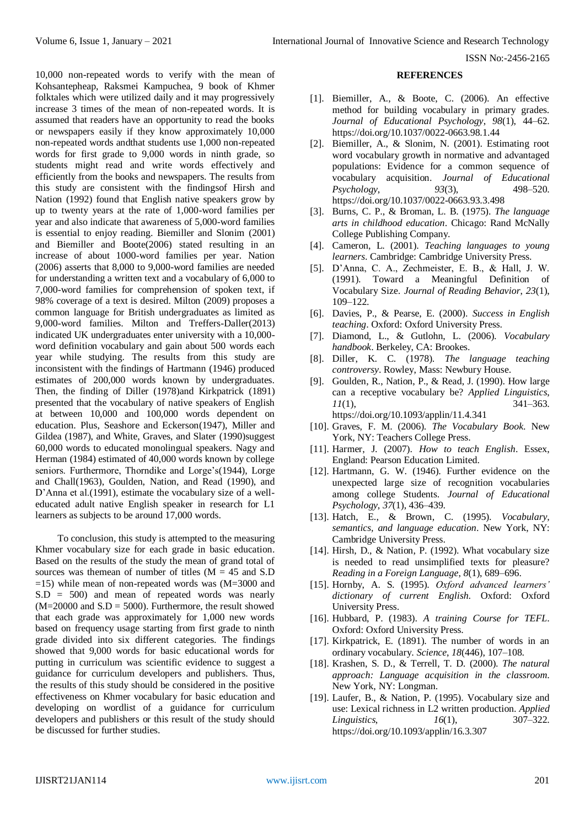10,000 non-repeated words to verify with the mean of Kohsantepheap, Raksmei Kampuchea, 9 book of Khmer folktales which were utilized daily and it may progressively increase 3 times of the mean of non-repeated words. It is assumed that readers have an opportunity to read the books or newspapers easily if they know approximately 10,000 non-repeated words andthat students use 1,000 non-repeated words for first grade to 9,000 words in ninth grade, so students might read and write words effectively and efficiently from the books and newspapers. The results from this study are consistent with the findingsof Hirsh and Nation (1992) found that English native speakers grow by up to twenty years at the rate of 1,000-word families per year and also indicate that awareness of 5,000-word families is essential to enjoy reading. Biemiller and Slonim (2001) and Biemiller and Boote(2006) stated resulting in an increase of about 1000-word families per year. Nation (2006) asserts that 8,000 to 9,000-word families are needed for understanding a written text and a vocabulary of 6,000 to 7,000-word families for comprehension of spoken text, if 98% coverage of a text is desired. Milton (2009) proposes a common language for British undergraduates as limited as 9,000-word families. Milton and Treffers-Daller(2013) indicated UK undergraduates enter university with a 10,000 word definition vocabulary and gain about 500 words each year while studying. The results from this study are inconsistent with the findings of Hartmann (1946) produced estimates of 200,000 words known by undergraduates. Then, the finding of Diller (1978)and Kirkpatrick (1891) presented that the vocabulary of native speakers of English at between 10,000 and 100,000 words dependent on education. Plus, Seashore and Eckerson(1947), Miller and Gildea (1987), and White, Graves, and Slater (1990)suggest 60,000 words to educated monolingual speakers. Nagy and Herman (1984) estimated of 40,000 words known by college seniors. Furthermore, Thorndike and Lorge's(1944), Lorge and Chall(1963), Goulden, Nation, and Read (1990), and D'Anna et al.(1991), estimate the vocabulary size of a welleducated adult native English speaker in research for L1 learners as subjects to be around 17,000 words.

To conclusion, this study is attempted to the measuring Khmer vocabulary size for each grade in basic education. Based on the results of the study the mean of grand total of sources was themean of number of titles  $(M = 45$  and S.D  $=15$ ) while mean of non-repeated words was (M=3000 and S.D = 500) and mean of repeated words was nearly  $(M=20000$  and  $S.D = 5000$ . Furthermore, the result showed that each grade was approximately for 1,000 new words based on frequency usage starting from first grade to ninth grade divided into six different categories. The findings showed that 9,000 words for basic educational words for putting in curriculum was scientific evidence to suggest a guidance for curriculum developers and publishers. Thus, the results of this study should be considered in the positive effectiveness on Khmer vocabulary for basic education and developing on wordlist of a guidance for curriculum developers and publishers or this result of the study should be discussed for further studies.

#### **REFERENCES**

- [1]. Biemiller, A., & Boote, C. (2006). An effective method for building vocabulary in primary grades. *Journal of Educational Psychology*, *98*(1), 44–62. https://doi.org/10.1037/0022-0663.98.1.44
- [2]. Biemiller, A., & Slonim, N. (2001). Estimating root word vocabulary growth in normative and advantaged populations: Evidence for a common sequence of vocabulary acquisition. *Journal of Educational Psychology*, 93(3), https://doi.org/10.1037/0022-0663.93.3.498
- [3]. Burns, C. P., & Broman, L. B. (1975). *The language arts in childhood education*. Chicago: Rand McNally College Publishing Company.
- [4]. Cameron, L. (2001). *Teaching languages to young learners*. Cambridge: Cambridge University Press.
- [5]. D'Anna, C. A., Zechmeister, E. B., & Hall, J. W. (1991). Toward a Meaningful Definition of Vocabulary Size. *Journal of Reading Behavior*, *23*(1), 109–122.
- [6]. Davies, P., & Pearse, E. (2000). *Success in English teaching*. Oxford: Oxford University Press.
- [7]. Diamond, L., & Gutlohn, L. (2006). *Vocabulary handbook*. Berkeley, CA: Brookes.
- [8]. Diller, K. C. (1978). *The language teaching controversy*. Rowley, Mass: Newbury House.
- [9]. Goulden, R., Nation, P., & Read, J. (1990). How large can a receptive vocabulary be? *Applied Linguistics*, *11*(1), 341–363.

https://doi.org/10.1093/applin/11.4.341

- [10]. Graves, F. M. (2006). *The Vocabulary Book*. New York, NY: Teachers College Press.
- [11]. Harmer, J. (2007). *How to teach English*. Essex, England: Pearson Education Limited.
- [12]. Hartmann, G. W. (1946). Further evidence on the unexpected large size of recognition vocabularies among college Students. *Journal of Educational Psychology*, *37*(1), 436–439.
- [13]. Hatch, E., & Brown, C. (1995). *Vocabulary, semantics, and language education*. New York, NY: Cambridge University Press.
- [14]. Hirsh, D., & Nation, P. (1992). What vocabulary size is needed to read unsimplified texts for pleasure? *Reading in a Foreign Language*, *8*(1), 689–696.
- [15]. Hornby, A. S. (1995). *Oxford advanced learners' dictionary of current English*. Oxford: Oxford University Press.
- [16]. Hubbard, P. (1983). *A training Course for TEFL*. Oxford: Oxford University Press.
- [17]. Kirkpatrick, E. (1891). The number of words in an ordinary vocabulary. *Science*, *18*(446), 107–108.
- [18]. Krashen, S. D., & Terrell, T. D. (2000). *The natural approach: Language acquisition in the classroom*. New York, NY: Longman.
- [19]. Laufer, B., & Nation, P. (1995). Vocabulary size and use: Lexical richness in L2 written production. *Applied Linguistics*, *16*(1), 307–322. https://doi.org/10.1093/applin/16.3.307